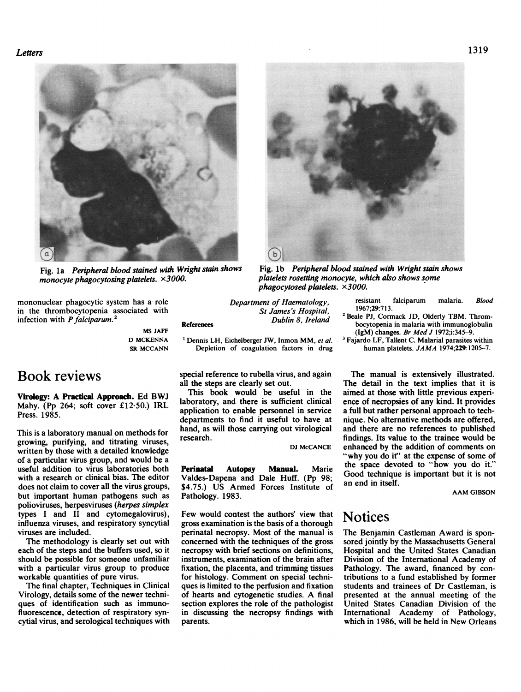

monocyte phagocytosing platelets. x3000.

mononuclear phagocytic system has a role in the thrombocytopenia associated with infection with  $P$  falciparum.<sup>2</sup>

> MS JAFF D MCKENNA SR MCCANN

# Book reviews

Virology: A Practical Approach. Ed BWJ Mahy. (Pp 264; soft cover £12.50.) IRL Press. 1985.

This is a laboratory manual on methods for growing, purifying, and titrating viruses, written by those with a detailed knowledge of a particular virus group, and would be a useful addition to virus laboratories both with a research or clinical bias. The editor does not claim to cover all the virus groups, but important human pathogens such as polioviruses, herpesviruses (herpes simplex types <sup>I</sup> and II and cytomegalovirus), influenza viruses, and respiratory syncytial viruses are included.

The methodology is clearly set out with each of the steps and the buffers used, so it should be possible for someone unfamiliar with a particular virus group to produce workable quantities of pure virus.

The final chapter, Techniques in Clinical Virology, details some of the newer techniques of identification such as immunofluorescence, detection of respiratory syncytial virus, and serological techniques with Department of Haematology, St James's Hospital, Dublin 8, Ireland

<sup>1</sup> Dennis LH, Eichelberger JW, Inmon MM, et al. Depletion of coagulation factors in drug

special reference to rubella virus, and again all the steps are clearly set out.

This book would be useful in the laboratory, and there is sufficient clinical application to enable personnel in service departments to find it useful to have at hand, as will those carrying out virological research.

Valdes-Dapena and Dale Huff. (Pp 98; \$4.75.) US Armed Forces Institute of Pathology. 1983.

Few would contest the authors' view that gross examination is the basis of a thorough perinatal necropsy. Most of the manual is concerned with the techniques of the gross necropsy with brief sections on definitions, instruments, examination of the brain after fixation, the placenta, and trimming tissues for histology. Comment on special techniques is limited to the perfusion and fixation of hearts and cytogenetic studies. A final section explores the role of the pathologist in discussing the necropsy findings with parents.

Fig. 1b Peripheral blood stained with Wright stain shows platelets rosettng monocyte, which also shows some phagocytosed platelets.  $\times 3000$ .

resistant falciparum malaria. Blood 1967;29:71 3.

- <sup>2</sup> Beale PJ, Cormack JD, Olderly TBM. Thrombocytopenia in malaria with immunoglobulin (IgM) changes. Br Med J 1972;i:345-9.
- <sup>3</sup> Fajardo LF, Tallent C. Malarial parasites within human platelets. JAMA 1974;229:1205-7.

The manual is extensively illustrated. The detail in the text implies that it is aimed at those with little previous experience of necropsies of any kind. It provides a full but rather personal approach to technique. No alternative methods are offered, and there are no references to published findings. Its value to the trainee would be DJ McCANCE enhanced by the addition of comments on "why you do it" at the expense of some of Perinatal Autopsy Manual. Marie the space devoted to "how you do it." Good technique is important but it is not an end in itself.

AAM GIBSON

## Notices

The Benjamin Castleman Award is sponsored jointly by the Massachusetts General Hospital and the United States Canadian Division of the International Academy of Pathology. The award, financed by contributions to a fund established by former students and trainees of Dr Castleman, is presented at the annual meeting of the United States Canadian Division of the International Academy of Pathology, which in 1986, will be held in New Orleans

### 1319